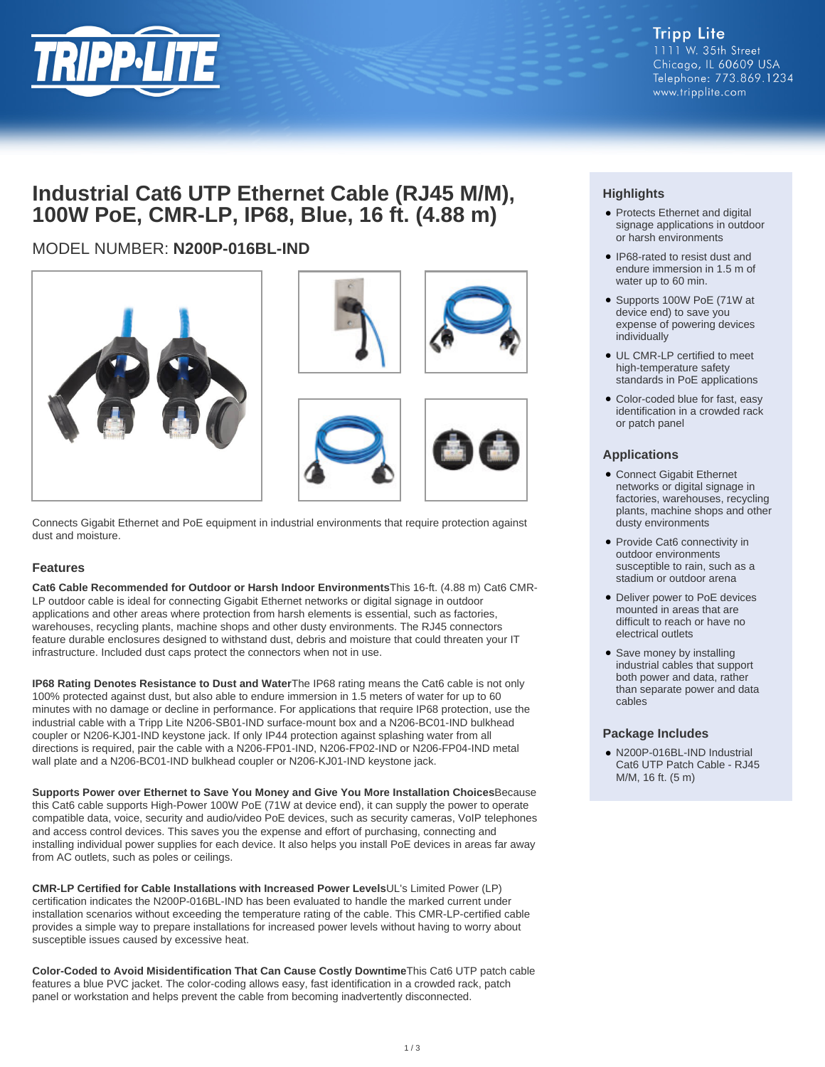

**Tripp Lite** 1111 W. 35th Street Chicago, IL 60609 USA Telephone: 773.869.1234 www.tripplite.com

# **Industrial Cat6 UTP Ethernet Cable (RJ45 M/M), 100W PoE, CMR-LP, IP68, Blue, 16 ft. (4.88 m)**

## MODEL NUMBER: **N200P-016BL-IND**



Connects Gigabit Ethernet and PoE equipment in industrial environments that require protection against dust and moisture.

#### **Features**

**Cat6 Cable Recommended for Outdoor or Harsh Indoor Environments**This 16-ft. (4.88 m) Cat6 CMR-LP outdoor cable is ideal for connecting Gigabit Ethernet networks or digital signage in outdoor applications and other areas where protection from harsh elements is essential, such as factories, warehouses, recycling plants, machine shops and other dusty environments. The RJ45 connectors feature durable enclosures designed to withstand dust, debris and moisture that could threaten your IT infrastructure. Included dust caps protect the connectors when not in use.

**IP68 Rating Denotes Resistance to Dust and Water**The IP68 rating means the Cat6 cable is not only 100% protected against dust, but also able to endure immersion in 1.5 meters of water for up to 60 minutes with no damage or decline in performance. For applications that require IP68 protection, use the industrial cable with a Tripp Lite N206-SB01-IND surface-mount box and a N206-BC01-IND bulkhead coupler or N206-KJ01-IND keystone jack. If only IP44 protection against splashing water from all directions is required, pair the cable with a N206-FP01-IND, N206-FP02-IND or N206-FP04-IND metal wall plate and a N206-BC01-IND bulkhead coupler or N206-KJ01-IND keystone jack.

**Supports Power over Ethernet to Save You Money and Give You More Installation Choices**Because this Cat6 cable supports High-Power 100W PoE (71W at device end), it can supply the power to operate compatible data, voice, security and audio/video PoE devices, such as security cameras, VoIP telephones and access control devices. This saves you the expense and effort of purchasing, connecting and installing individual power supplies for each device. It also helps you install PoE devices in areas far away from AC outlets, such as poles or ceilings.

**CMR-LP Certified for Cable Installations with Increased Power Levels**UL's Limited Power (LP) certification indicates the N200P-016BL-IND has been evaluated to handle the marked current under installation scenarios without exceeding the temperature rating of the cable. This CMR-LP-certified cable provides a simple way to prepare installations for increased power levels without having to worry about susceptible issues caused by excessive heat.

**Color-Coded to Avoid Misidentification That Can Cause Costly Downtime**This Cat6 UTP patch cable features a blue PVC jacket. The color-coding allows easy, fast identification in a crowded rack, patch panel or workstation and helps prevent the cable from becoming inadvertently disconnected.

### **Highlights**

- Protects Ethernet and digital signage applications in outdoor or harsh environments
- IP68-rated to resist dust and endure immersion in 1.5 m of water up to 60 min.
- Supports 100W PoE (71W at device end) to save you expense of powering devices individually
- UL CMR-LP certified to meet high-temperature safety standards in PoE applications
- Color-coded blue for fast, easy identification in a crowded rack or patch panel

#### **Applications**

- Connect Gigabit Ethernet networks or digital signage in factories, warehouses, recycling plants, machine shops and other dusty environments
- Provide Cat6 connectivity in outdoor environments susceptible to rain, such as a stadium or outdoor arena
- Deliver power to PoE devices mounted in areas that are difficult to reach or have no electrical outlets
- Save money by installing industrial cables that support both power and data, rather than separate power and data cables

#### **Package Includes**

N200P-016BL-IND Industrial ● Cat6 UTP Patch Cable - RJ45 M/M, 16 ft. (5 m)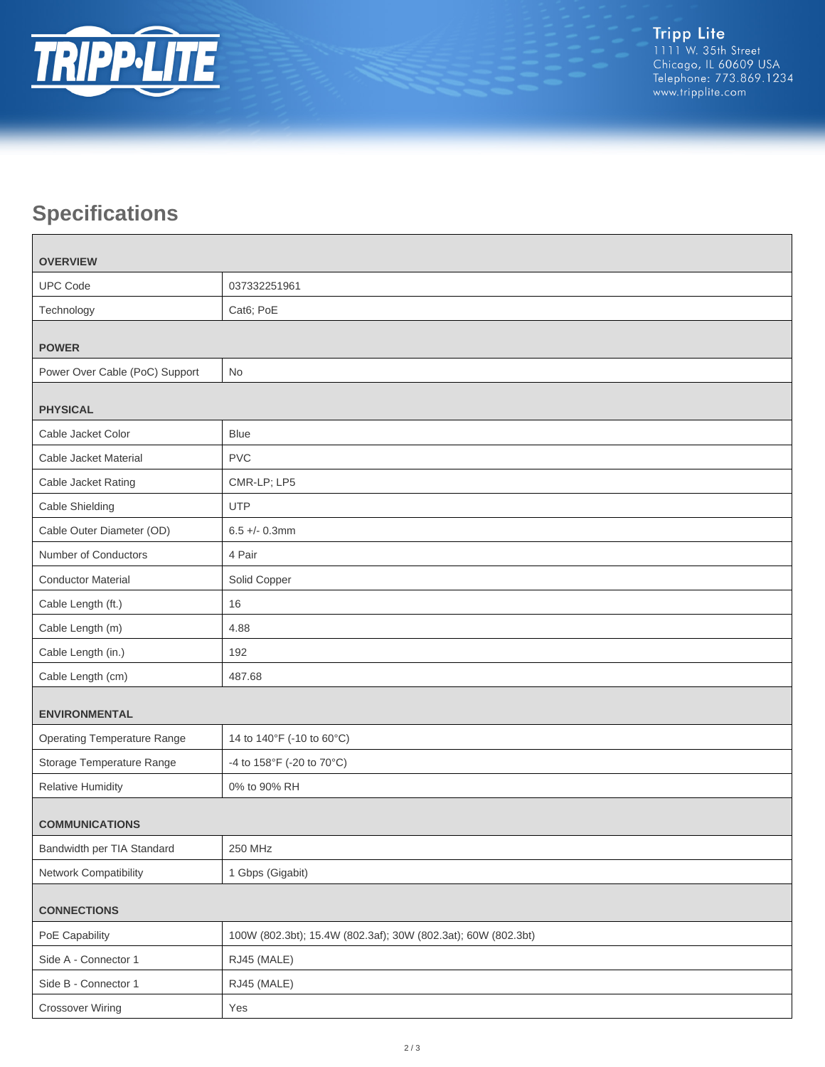

# **Specifications**

П

| <b>OVERVIEW</b>                    |                                                               |  |
|------------------------------------|---------------------------------------------------------------|--|
| <b>UPC Code</b>                    | 037332251961                                                  |  |
| Technology                         | Cat6; PoE                                                     |  |
| <b>POWER</b>                       |                                                               |  |
| Power Over Cable (PoC) Support     | No                                                            |  |
|                                    |                                                               |  |
| <b>PHYSICAL</b>                    |                                                               |  |
| Cable Jacket Color                 | <b>Blue</b>                                                   |  |
| Cable Jacket Material              | <b>PVC</b>                                                    |  |
| Cable Jacket Rating                | CMR-LP; LP5                                                   |  |
| Cable Shielding                    | <b>UTP</b>                                                    |  |
| Cable Outer Diameter (OD)          | $6.5 +/- 0.3$ mm                                              |  |
| Number of Conductors               | 4 Pair                                                        |  |
| <b>Conductor Material</b>          | Solid Copper                                                  |  |
| Cable Length (ft.)                 | 16                                                            |  |
| Cable Length (m)                   | 4.88                                                          |  |
| Cable Length (in.)                 | 192                                                           |  |
| Cable Length (cm)                  | 487.68                                                        |  |
| <b>ENVIRONMENTAL</b>               |                                                               |  |
| <b>Operating Temperature Range</b> | 14 to 140°F (-10 to 60°C)                                     |  |
| Storage Temperature Range          | -4 to 158°F (-20 to 70°C)                                     |  |
| <b>Relative Humidity</b>           | 0% to 90% RH                                                  |  |
| <b>COMMUNICATIONS</b>              |                                                               |  |
| Bandwidth per TIA Standard         | 250 MHz                                                       |  |
| Network Compatibility              | 1 Gbps (Gigabit)                                              |  |
|                                    |                                                               |  |
| <b>CONNECTIONS</b>                 |                                                               |  |
| PoE Capability                     | 100W (802.3bt); 15.4W (802.3af); 30W (802.3at); 60W (802.3bt) |  |
| Side A - Connector 1               | RJ45 (MALE)                                                   |  |
| Side B - Connector 1               | RJ45 (MALE)                                                   |  |
| <b>Crossover Wiring</b>            | Yes                                                           |  |